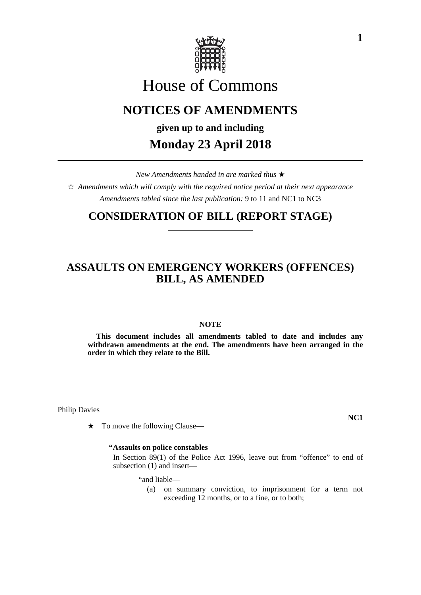

# House of Commons

# **NOTICES OF AMENDMENTS**

**given up to and including**

# **Monday 23 April 2018**

*New Amendments handed in are marked thus* 

 $\hat{\varphi}$  Amendments which will comply with the required notice period at their next appearance *Amendments tabled since the last publication:* 9 to 11 and NC1 to NC3

## **CONSIDERATION OF BILL (REPORT STAGE)**

## **ASSAULTS ON EMERGENCY WORKERS (OFFENCES) BILL, AS AMENDED**

### **NOTE**

**This document includes all amendments tabled to date and includes any withdrawn amendments at the end. The amendments have been arranged in the order in which they relate to the Bill.**

Philip Davies

 $\star$  To move the following Clause—

### **"Assaults on police constables**

 In Section 89(1) of the Police Act 1996, leave out from "offence" to end of subsection (1) and insert—

"and liable—

(a) on summary conviction, to imprisonment for a term not exceeding 12 months, or to a fine, or to both;

**NC1**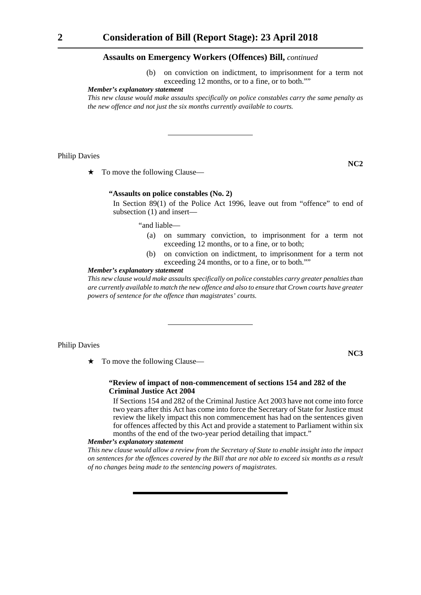#### **Assaults on Emergency Workers (Offences) Bill,** *continued*

(b) on conviction on indictment, to imprisonment for a term not exceeding 12 months, or to a fine, or to both.""

#### *Member's explanatory statement*

*This new clause would make assaults specifically on police constables carry the same penalty as the new offence and not just the six months currently available to courts.*

#### Philip Davies

 $\star$  To move the following Clause—

#### **"Assaults on police constables (No. 2)**

 In Section 89(1) of the Police Act 1996, leave out from "offence" to end of subsection (1) and insert—

"and liable—

- (a) on summary conviction, to imprisonment for a term not exceeding 12 months, or to a fine, or to both;
- (b) on conviction on indictment, to imprisonment for a term not exceeding 24 months, or to a fine, or to both.""

#### *Member's explanatory statement*

*This new clause would make assaults specifically on police constables carry greater penalties than are currently available to match the new offence and also to ensure that Crown courts have greater powers of sentence for the offence than magistrates' courts.*

#### Philip Davies

**NC3**

**NC2**

 $\star$  To move the following Clause—

#### **"Review of impact of non-commencement of sections 154 and 282 of the Criminal Justice Act 2004**

 If Sections 154 and 282 of the Criminal Justice Act 2003 have not come into force two years after this Act has come into force the Secretary of State for Justice must review the likely impact this non commencement has had on the sentences given for offences affected by this Act and provide a statement to Parliament within six months of the end of the two-year period detailing that impact."

#### *Member's explanatory statement*

*This new clause would allow a review from the Secretary of State to enable insight into the impact on sentences for the offences covered by the Bill that are not able to exceed six months as a result of no changes being made to the sentencing powers of magistrates.*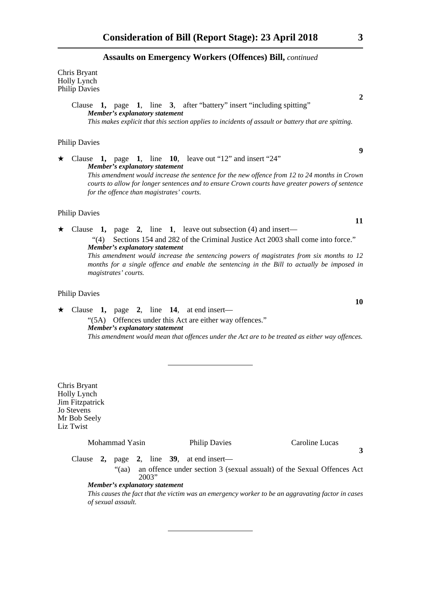#### **Assaults on Emergency Workers (Offences) Bill,** *continued*

Chris Bryant Holly Lynch Philip Davies

> Clause **1,** page **1**, line **3**, after "battery" insert "including spitting" *Member's explanatory statement This makes explicit that this section applies to incidents of assault or battery that are spitting.*

#### Philip Davies

 $\star$  Clause 1, page 1, line 10, leave out "12" and insert "24" *Member's explanatory statement This amendment would increase the sentence for the new offence from 12 to 24 months in Crown courts to allow for longer sentences and to ensure Crown courts have greater powers of sentence for the offence than magistrates' courts.* 

### Philip Davies

 $\star$  Clause **1**, page **2**, line **1**, leave out subsection (4) and insert— "(4) Sections 154 and 282 of the Criminal Justice Act 2003 shall come into force." *Member's explanatory statement This amendment would increase the sentencing powers of magistrates from six months to 12 months for a single offence and enable the sentencing in the Bill to actually be imposed in magistrates' courts.*

#### Philip Davies

 Clause **1,** page **2**, line **14**, at end insert— "(5A) Offences under this Act are either way offences." *Member's explanatory statement This amendment would mean that offences under the Act are to be treated as either way offences.*

Chris Bryant Holly Lynch Jim Fitzpatrick Jo Stevens Mr Bob Seely Liz Twist Mohammad Yasin Philip Davies Caroline Lucas **3** Clause **2,** page **2**, line **39**, at end insert— "(aa) an offence under section 3 (sexual assualt) of the Sexual Offences Act 2003" *Member's explanatory statement This causes the fact that the victim was an emergency worker to be an aggravating factor in cases of sexual assault.* 

**2**

**9**

**11**

**10**